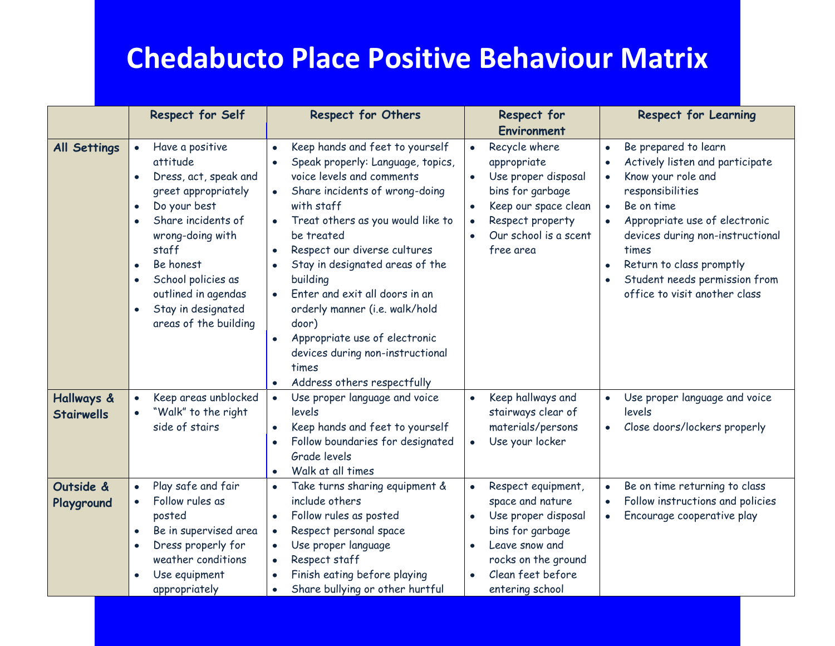## **Chedabucto Place Positive Behaviour Matrix**

|                                 | <b>Respect for Self</b>                                                                                                                                                                                                                                                                                     | <b>Respect for Others</b>                                                                                                                                                                                                                                                                                                                                                                                                                                                                  | <b>Respect for</b><br><b>Environment</b>                                                                                                                                                         | <b>Respect for Learning</b>                                                                                                                                                                                                                                                                                                                                  |
|---------------------------------|-------------------------------------------------------------------------------------------------------------------------------------------------------------------------------------------------------------------------------------------------------------------------------------------------------------|--------------------------------------------------------------------------------------------------------------------------------------------------------------------------------------------------------------------------------------------------------------------------------------------------------------------------------------------------------------------------------------------------------------------------------------------------------------------------------------------|--------------------------------------------------------------------------------------------------------------------------------------------------------------------------------------------------|--------------------------------------------------------------------------------------------------------------------------------------------------------------------------------------------------------------------------------------------------------------------------------------------------------------------------------------------------------------|
| <b>All Settings</b>             | Have a positive<br>$\bullet$<br>attitude<br>Dress, act, speak and<br>greet appropriately<br>Do your best<br>$\bullet$<br>Share incidents of<br>wrong-doing with<br>staff<br>Be honest<br>$\bullet$<br>School policies as<br>outlined in agendas<br>Stay in designated<br>$\bullet$<br>areas of the building | Keep hands and feet to yourself<br>Speak properly: Language, topics,<br>voice levels and comments<br>Share incidents of wrong-doing<br>$\bullet$<br>with staff<br>Treat others as you would like to<br>be treated<br>Respect our diverse cultures<br>Stay in designated areas of the<br>building<br>Enter and exit all doors in an<br>orderly manner (i.e. walk/hold<br>door)<br>Appropriate use of electronic<br>devices during non-instructional<br>times<br>Address others respectfully | Recycle where<br>$\bullet$<br>appropriate<br>Use proper disposal<br>bins for garbage<br>Keep our space clean<br>$\bullet$<br>Respect property<br>$\bullet$<br>Our school is a scent<br>free area | Be prepared to learn<br>$\bullet$<br>Actively listen and participate<br>$\bullet$<br>Know your role and<br>$\bullet$<br>responsibilities<br>Be on time<br>$\bullet$<br>Appropriate use of electronic<br>$\bullet$<br>devices during non-instructional<br>times<br>Return to class promptly<br>Student needs permission from<br>office to visit another class |
| Hallways &<br><b>Stairwells</b> | Keep areas unblocked<br>$\bullet$<br>"Walk" to the right<br>side of stairs                                                                                                                                                                                                                                  | Use proper language and voice<br>$\bullet$<br>levels<br>Keep hands and feet to yourself<br>Follow boundaries for designated<br>Grade levels<br>Walk at all times                                                                                                                                                                                                                                                                                                                           | Keep hallways and<br>$\bullet$<br>stairways clear of<br>materials/persons<br>Use your locker<br>$\bullet$                                                                                        | Use proper language and voice<br>levels<br>Close doors/lockers properly<br>$\bullet$                                                                                                                                                                                                                                                                         |
| Outside &<br>Playground         | Play safe and fair<br>Follow rules as<br>posted<br>Be in supervised area<br>Dress properly for<br>weather conditions<br>Use equipment<br>appropriately                                                                                                                                                      | Take turns sharing equipment &<br>$\bullet$<br>include others<br>Follow rules as posted<br>Respect personal space<br>$\bullet$<br>Use proper language<br>Respect staff<br>Finish eating before playing<br>Share bullying or other hurtful                                                                                                                                                                                                                                                  | Respect equipment,<br>$\bullet$<br>space and nature<br>Use proper disposal<br>$\bullet$<br>bins for garbage<br>Leave snow and<br>rocks on the ground<br>Clean feet before<br>entering school     | Be on time returning to class<br>$\bullet$<br>Follow instructions and policies<br>$\bullet$<br>Encourage cooperative play<br>$\bullet$                                                                                                                                                                                                                       |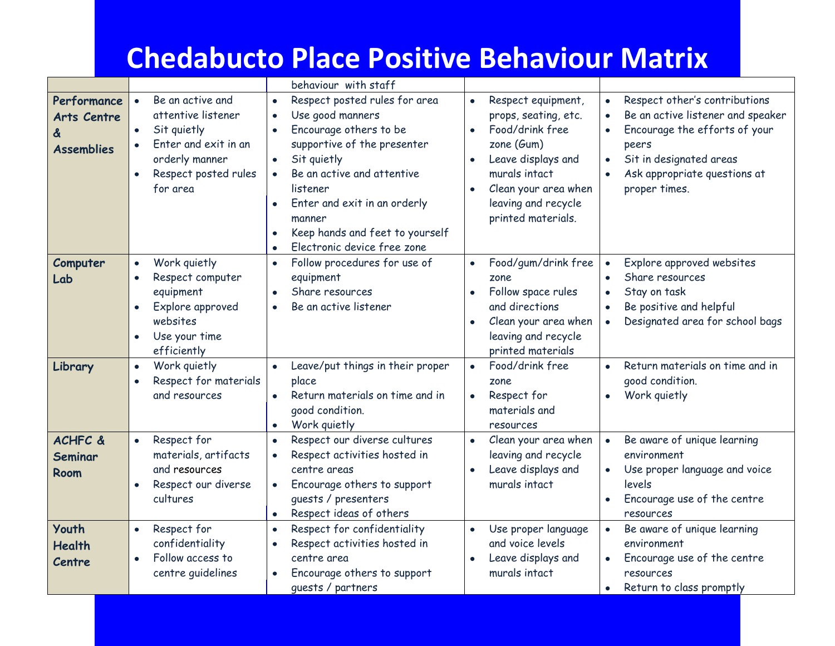## **Chedabucto Place Positive Behaviour Matrix**

|                    |                                    | behaviour with staff                          |                                   |                                              |
|--------------------|------------------------------------|-----------------------------------------------|-----------------------------------|----------------------------------------------|
| Performance        | Be an active and<br>$\bullet$      | Respect posted rules for area<br>$\bullet$    | Respect equipment,<br>$\bullet$   | Respect other's contributions                |
| <b>Arts Centre</b> | attentive listener                 | Use good manners<br>$\bullet$                 | props, seating, etc.              | Be an active listener and speaker            |
| &                  | Sit quietly<br>$\bullet$           | Encourage others to be<br>$\bullet$           | Food/drink free<br>$\bullet$      | Encourage the efforts of your<br>$\bullet$   |
| <b>Assemblies</b>  | Enter and exit in an               | supportive of the presenter                   | zone $(Gum)$                      | peers                                        |
|                    | orderly manner                     | Sit quietly<br>$\bullet$                      | Leave displays and<br>$\bullet$   | Sit in designated areas<br>$\bullet$         |
|                    | Respect posted rules               | Be an active and attentive                    | murals intact                     | Ask appropriate questions at                 |
|                    | for area                           | listener                                      | Clean your area when<br>$\bullet$ | proper times.                                |
|                    |                                    | Enter and exit in an orderly                  | leaving and recycle               |                                              |
|                    |                                    | manner                                        | printed materials.                |                                              |
|                    |                                    | Keep hands and feet to yourself               |                                   |                                              |
|                    |                                    | Electronic device free zone<br>$\bullet$      |                                   |                                              |
| Computer           | Work quietly<br>$\bullet$          | Follow procedures for use of<br>$\bullet$     | Food/gum/drink free<br>$\bullet$  | Explore approved websites<br>$\bullet$       |
| Lab                | Respect computer<br>$\bullet$      | equipment                                     | zone                              | Share resources<br>$\bullet$                 |
|                    | equipment                          | Share resources<br>$\bullet$                  | Follow space rules<br>$\bullet$   | Stay on task                                 |
|                    | Explore approved                   | Be an active listener<br>$\bullet$            | and directions                    | Be positive and helpful<br>$\bullet$         |
|                    | websites                           |                                               | Clean your area when<br>$\bullet$ | Designated area for school bags<br>$\bullet$ |
|                    | Use your time<br>$\bullet$         |                                               | leaving and recycle               |                                              |
|                    | efficiently                        |                                               | printed materials                 |                                              |
| Library            | Work quietly<br>$\bullet$          | Leave/put things in their proper<br>$\bullet$ | Food/drink free<br>$\bullet$      | Return materials on time and in<br>$\bullet$ |
|                    | Respect for materials<br>$\bullet$ | place                                         | zone                              | good condition.                              |
|                    | and resources                      | Return materials on time and in<br>$\bullet$  | Respect for<br>$\bullet$          | Work quietly<br>$\bullet$                    |
|                    |                                    | good condition.                               | materials and                     |                                              |
|                    |                                    | Work quietly<br>$\bullet$                     | resources                         |                                              |
| <b>ACHFC &amp;</b> | Respect for<br>$\bullet$           | Respect our diverse cultures<br>$\bullet$     | Clean your area when<br>$\bullet$ | Be aware of unique learning<br>$\bullet$     |
| <b>Seminar</b>     | materials, artifacts               | Respect activities hosted in                  | leaving and recycle               | environment                                  |
| Room               | and resources                      | centre areas                                  | Leave displays and<br>$\bullet$   | Use proper language and voice<br>$\bullet$   |
|                    | Respect our diverse<br>$\bullet$   | Encourage others to support<br>$\bullet$      | murals intact                     | levels                                       |
|                    | cultures                           | guests / presenters                           |                                   | Encourage use of the centre<br>$\bullet$     |
|                    |                                    | Respect ideas of others<br>$\bullet$          |                                   | resources                                    |
| <b>Youth</b>       | Respect for<br>$\bullet$           | Respect for confidentiality<br>$\bullet$      | Use proper language<br>$\bullet$  | Be aware of unique learning<br>$\bullet$     |
| <b>Health</b>      | confidentiality                    | Respect activities hosted in<br>$\bullet$     | and voice levels                  | environment                                  |
| Centre             | Follow access to<br>$\bullet$      | centre area                                   | Leave displays and<br>$\bullet$   | Encourage use of the centre<br>$\bullet$     |
|                    | centre guidelines                  | Encourage others to support<br>$\bullet$      | murals intact                     | resources                                    |
|                    |                                    | quests / partners                             |                                   | Return to class promptly<br>$\bullet$        |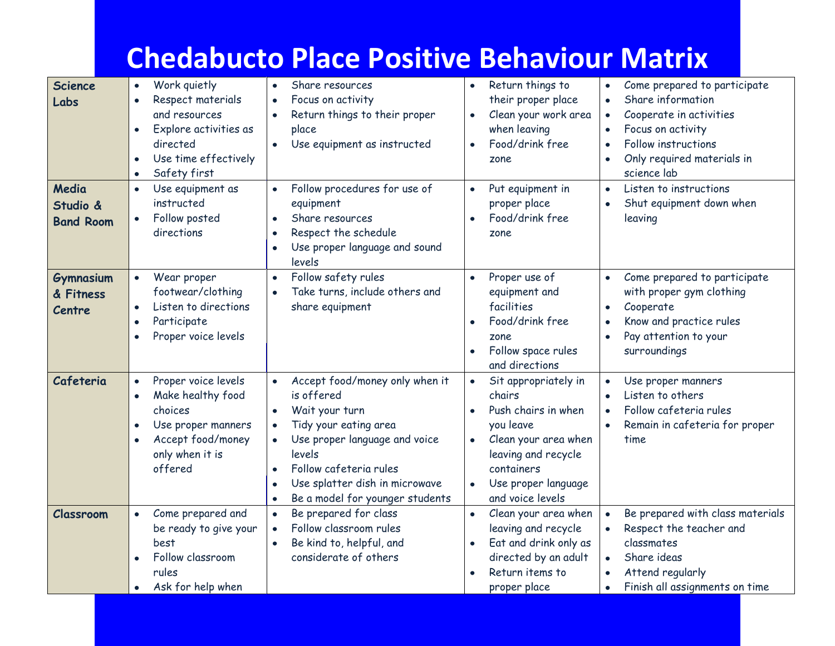|                                                |                                                                                                                                                                        | <b>Chedabucto Place Positive Behaviour Matrix</b>                                                                                                                                                                                                           |                                                                                                                                                                                                                   |                                                                                                                                                                                                                                                     |
|------------------------------------------------|------------------------------------------------------------------------------------------------------------------------------------------------------------------------|-------------------------------------------------------------------------------------------------------------------------------------------------------------------------------------------------------------------------------------------------------------|-------------------------------------------------------------------------------------------------------------------------------------------------------------------------------------------------------------------|-----------------------------------------------------------------------------------------------------------------------------------------------------------------------------------------------------------------------------------------------------|
| <b>Science</b><br>Labs                         | Work quietly<br>$\bullet$<br>Respect materials<br>$\bullet$<br>and resources<br>Explore activities as<br>directed<br>Use time effectively<br>Safety first<br>$\bullet$ | Share resources<br>$\bullet$<br>Focus on activity<br>$\bullet$<br>Return things to their proper<br>place<br>Use equipment as instructed                                                                                                                     | Return things to<br>$\bullet$<br>their proper place<br>Clean your work area<br>$\bullet$<br>when leaving<br>Food/drink free<br>$\bullet$<br>zone                                                                  | Come prepared to participate<br>$\bullet$<br>Share information<br>$\bullet$<br>Cooperate in activities<br>$\bullet$<br>Focus on activity<br>$\bullet$<br>Follow instructions<br>$\bullet$<br>Only required materials in<br>$\bullet$<br>science lab |
| Media<br>Studio &<br><b>Band Room</b>          | Use equipment as<br>$\bullet$<br>instructed<br>Follow posted<br>directions                                                                                             | Follow procedures for use of<br>equipment<br>Share resources<br>$\bullet$<br>Respect the schedule<br>Use proper language and sound<br>levels                                                                                                                | Put equipment in<br>$\bullet$<br>proper place<br>Food/drink free<br>$\bullet$<br>zone                                                                                                                             | Listen to instructions<br>$\bullet$<br>Shut equipment down when<br>$\bullet$<br>leaving                                                                                                                                                             |
| <b>Gymnasium</b><br>& Fitness<br><b>Centre</b> | Wear proper<br>$\bullet$<br>footwear/clothing<br>Listen to directions<br>Participate<br>Proper voice levels                                                            | Follow safety rules<br>$\bullet$<br>Take turns, include others and<br>share equipment                                                                                                                                                                       | Proper use of<br>$\bullet$<br>equipment and<br>facilities<br>Food/drink free<br>$\bullet$<br>zone<br>Follow space rules<br>$\bullet$<br>and directions                                                            | Come prepared to participate<br>$\bullet$<br>with proper gym clothing<br>Cooperate<br>$\bullet$<br>Know and practice rules<br>$\bullet$<br>Pay attention to your<br>$\bullet$<br>surroundings                                                       |
| Cafeteria                                      | Proper voice levels<br>$\bullet$<br>Make healthy food<br>choices<br>Use proper manners<br>Accept food/money<br>only when it is<br>offered                              | Accept food/money only when it<br>$\bullet$<br>is offered<br>Wait your turn<br>Tidy your eating area<br>Use proper language and voice<br>levels<br>Follow cafeteria rules<br>$\bullet$<br>Use splatter dish in microwave<br>Be a model for younger students | Sit appropriately in<br>$\bullet$<br>chairs<br>Push chairs in when<br>you leave<br>Clean your area when<br>$\bullet$<br>leaving and recycle<br>containers<br>Use proper language<br>$\bullet$<br>and voice levels | Use proper manners<br>$\bullet$<br>Listen to others<br>$\bullet$<br>Follow cafeteria rules<br>$\bullet$<br>Remain in cafeteria for proper<br>$\bullet$<br>time                                                                                      |
| Classroom                                      | Come prepared and<br>be ready to give your<br>best<br>Follow classroom<br>rules<br>Ask for help when                                                                   | Be prepared for class<br>Follow classroom rules<br>Be kind to, helpful, and<br>considerate of others                                                                                                                                                        | Clean your area when<br>leaving and recycle<br>Eat and drink only as<br>$\bullet$<br>directed by an adult<br>Return items to<br>$\bullet$<br>proper place                                                         | Be prepared with class materials<br>$\bullet$<br>Respect the teacher and<br>$\bullet$<br>classmates<br>Share ideas<br>$\bullet$<br>Attend regularly<br>$\bullet$<br>Finish all assignments on time<br>$\bullet$                                     |